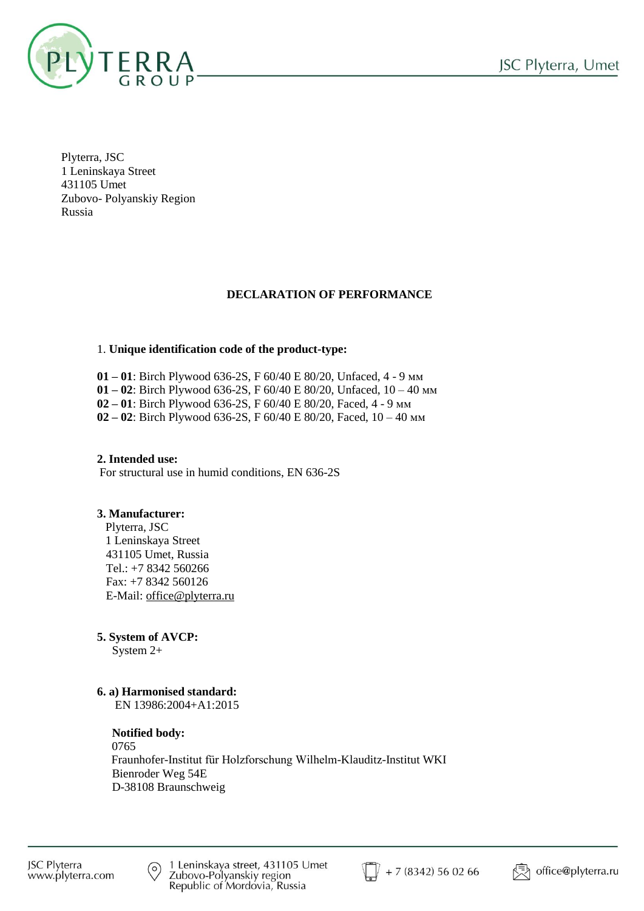

Plyterra, JSC 1 Leninskaya Street 431105 Umet Zubovo- Polyanskiy Region Russia

## **DECLARATION OF PERFORMANCE**

### 1. **Unique identification code of the product-type:**

 **01 – 01**: Birch Plywood 636-2S, F 60/40 E 80/20, Unfaced, 4 - 9 мм **01 – 02**: Birch Plywood 636-2S, F 60/40 E 80/20, Unfaced, 10 – 40 мм **02 – 01**: Birch Plywood 636-2S, F 60/40 E 80/20, Faced, 4 - 9 мм **02 – 02**: Birch Plywood 636-2S, F 60/40 E 80/20, Faced, 10 – 40 мм

#### **2. Intended use:** For structural use in humid conditions, EN 636-2S

## **3. Manufacturer:**

 Plyterra, JSC 1 Leninskaya Street 431105 Umet, Russia Tel.: +7 8342 560266 Fax: +7 8342 560126 E-Mail: [office@plyterra.ru](mailto:office@plyterra.ru)

## **5. System of AVCP:**

System 2+

## **6. a) Harmonised standard:**

EN 13986:2004+A1:2015

#### **Notified body:**

 0765 Fraunhofer-Institut für Holzforschung Wilhelm-Klauditz-Institut WKI Bienroder Weg 54E D-38108 Braunschweig



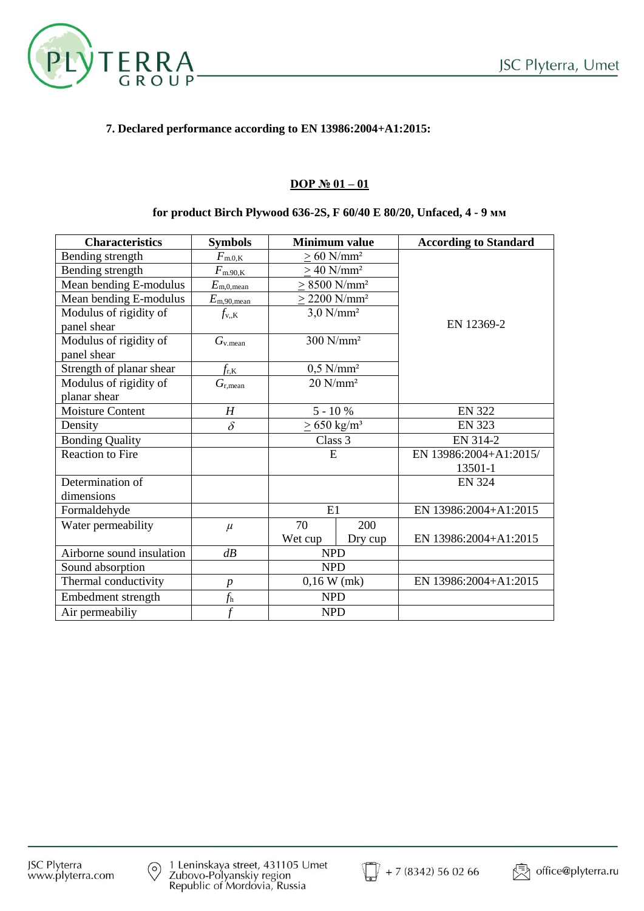

## **7. Declared performance according to EN 13986:2004+A1:2015:**

## **DOP № 01 – 01**

### **for product Birch Plywood 636-2S, F 60/40 E 80/20, Unfaced, 4 - 9 мм**

| <b>Characteristics</b>    | <b>Symbols</b>               | <b>Minimum value</b>         |         | <b>According to Standard</b> |  |
|---------------------------|------------------------------|------------------------------|---------|------------------------------|--|
| Bending strength          | $F_{\rm m.0,K}$              | $> 60$ N/mm <sup>2</sup>     |         |                              |  |
| Bending strength          | $F_{\rm m.90,K}$             | $\geq$ 40 N/mm <sup>2</sup>  |         |                              |  |
| Mean bending E-modulus    | $E_{\text{m},0,\text{mean}}$ | $> 8500$ N/mm <sup>2</sup>   |         |                              |  |
| Mean bending E-modulus    | $E_{\rm m,90,mean}$          | $> 2200$ N/mm <sup>2</sup>   |         |                              |  |
| Modulus of rigidity of    | $f_{\rm v,K}$                | $3,0$ N/mm <sup>2</sup>      |         | EN 12369-2                   |  |
| panel shear               |                              |                              |         |                              |  |
| Modulus of rigidity of    | $G_{v,mean}$                 | 300 N/mm <sup>2</sup>        |         |                              |  |
| panel shear               |                              |                              |         |                              |  |
| Strength of planar shear  | $f_{\rm r,K}$                | $0.5$ N/mm <sup>2</sup>      |         |                              |  |
| Modulus of rigidity of    | $G_{\rm r,mean}$             | $20$ N/mm <sup>2</sup>       |         |                              |  |
| planar shear              |                              |                              |         |                              |  |
| <b>Moisture Content</b>   | H                            | $5 - 10 %$                   |         | <b>EN 322</b>                |  |
| Density                   | $\delta$                     | $\geq$ 650 kg/m <sup>3</sup> |         | <b>EN 323</b>                |  |
| <b>Bonding Quality</b>    |                              | Class 3                      |         | EN 314-2                     |  |
| <b>Reaction to Fire</b>   |                              | E                            |         | EN 13986:2004+A1:2015/       |  |
|                           |                              |                              |         | 13501-1                      |  |
| Determination of          |                              |                              |         | <b>EN 324</b>                |  |
| dimensions                |                              |                              |         |                              |  |
| Formaldehyde              |                              | E1                           |         | EN 13986:2004+A1:2015        |  |
| Water permeability        | $\mu$                        | 70                           | 200     |                              |  |
|                           |                              | Wet cup                      | Dry cup | EN 13986:2004+A1:2015        |  |
| Airborne sound insulation | dB                           | <b>NPD</b>                   |         |                              |  |
| Sound absorption          |                              | <b>NPD</b>                   |         |                              |  |
| Thermal conductivity      | $\boldsymbol{p}$             | $0,16$ W (mk)                |         | EN 13986:2004+A1:2015        |  |
| Embedment strength        | $f_{\rm h}$                  | <b>NPD</b>                   |         |                              |  |
| Air permeabiliy           | $\overline{f}$               | <b>NPD</b>                   |         |                              |  |

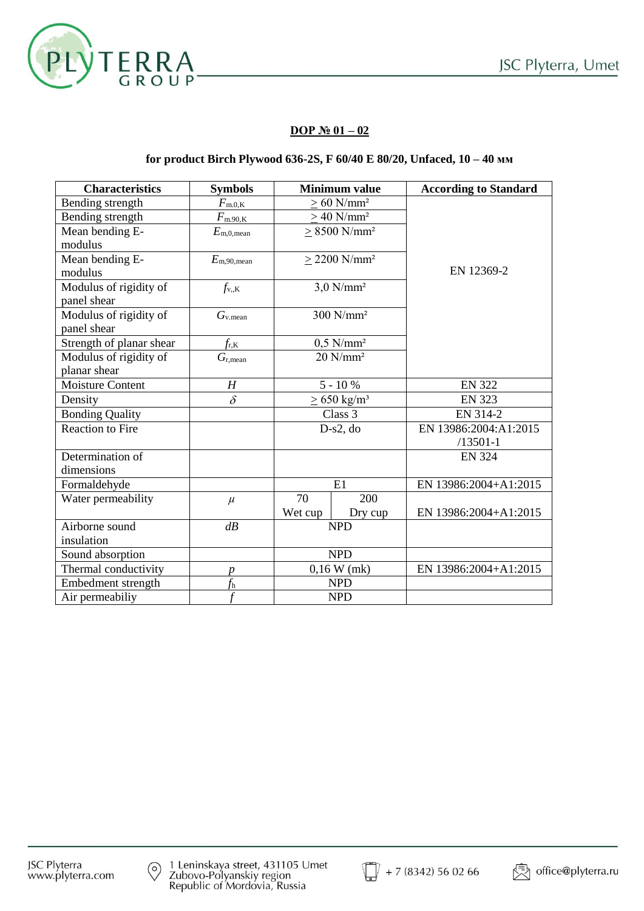

## **DOP № 01 – 02**

### **for product Birch Plywood 636-2S, F 60/40 E 80/20, Unfaced, 10 – 40 мм**

| <b>Characteristics</b>   | <b>Symbols</b>                 | <b>Minimum value</b>         |                               | <b>According to Standard</b> |
|--------------------------|--------------------------------|------------------------------|-------------------------------|------------------------------|
| Bending strength         | $F_{\text{m.0,\underline{K}}}$ | $> 60$ N/mm <sup>2</sup>     |                               |                              |
| Bending strength         | $F_{\text{m.90,K}}$            | $> 40$ N/mm <sup>2</sup>     |                               |                              |
| Mean bending E-          | $E_{\text{m},0,\text{mean}}$   | $> 8500$ N/mm <sup>2</sup>   |                               |                              |
| modulus                  |                                |                              |                               |                              |
| Mean bending E-          | $E_{\rm m,90,mean}$            |                              | $\geq$ 2200 N/mm <sup>2</sup> |                              |
| modulus                  |                                |                              |                               | EN 12369-2                   |
| Modulus of rigidity of   | $f_{v,K}$                      |                              | $3,0$ N/mm <sup>2</sup>       |                              |
| panel shear              |                                |                              |                               |                              |
| Modulus of rigidity of   | $G_{v \text{.mean}}$           |                              | $300$ N/mm <sup>2</sup>       |                              |
| panel shear              |                                |                              |                               |                              |
| Strength of planar shear | $f_{\rm r,K}$                  | $0,5$ N/mm <sup>2</sup>      |                               |                              |
| Modulus of rigidity of   | $G_{r,mean}$                   | $20$ N/mm <sup>2</sup>       |                               |                              |
| planar shear             |                                |                              |                               |                              |
| <b>Moisture Content</b>  | H                              | $5 - 10 %$                   |                               | <b>EN 322</b>                |
| Density                  | $\delta$                       | $\geq$ 650 kg/m <sup>3</sup> |                               | <b>EN 323</b>                |
| <b>Bonding Quality</b>   |                                | Class 3                      |                               | EN 314-2                     |
| <b>Reaction to Fire</b>  |                                | $D-s2, do$                   |                               | EN 13986:2004:A1:2015        |
|                          |                                |                              |                               | $/13501 - 1$                 |
| Determination of         |                                |                              |                               | <b>EN 324</b>                |
| dimensions               |                                |                              |                               |                              |
| Formaldehyde             |                                | E1                           |                               | EN 13986:2004+A1:2015        |
| Water permeability       | $\mu$                          | 70                           | 200                           |                              |
|                          |                                | Wet cup                      | Dry cup                       | EN 13986:2004+A1:2015        |
| Airborne sound           | dB                             | <b>NPD</b>                   |                               |                              |
| insulation               |                                |                              |                               |                              |
| Sound absorption         |                                | <b>NPD</b>                   |                               |                              |
| Thermal conductivity     | $\boldsymbol{p}$               | $0,16$ W (mk)                |                               | EN 13986:2004+A1:2015        |
| Embedment strength       | f <sub>h</sub>                 | <b>NPD</b>                   |                               |                              |
| Air permeabiliy          | f                              | <b>NPD</b>                   |                               |                              |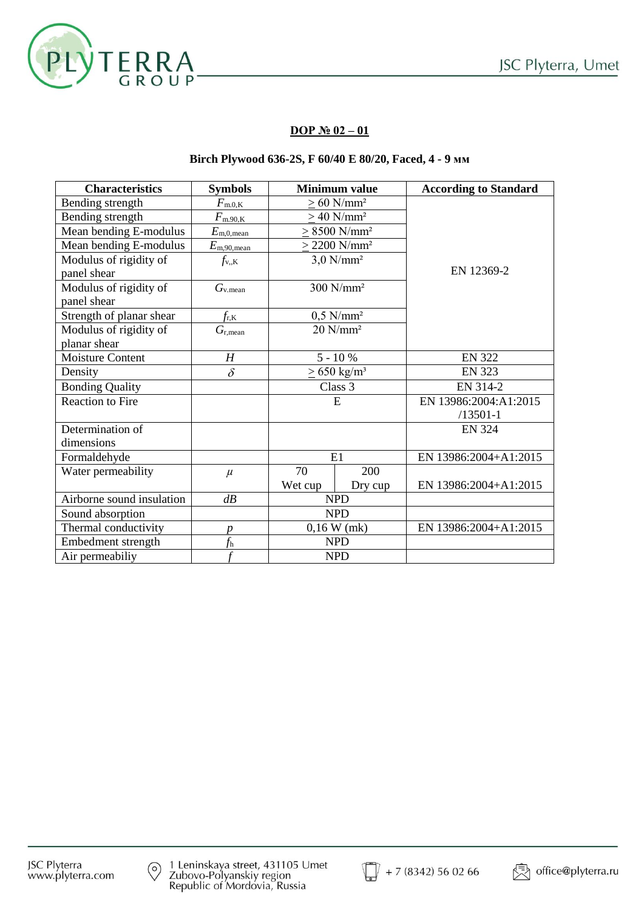

## **DOP № 02 – 01**

## **Birch Plywood 636-2S, F 60/40 E 80/20, Faced, 4 - 9 мм**

| <b>Characteristics</b>    | <b>Symbols</b>      | <b>Minimum value</b>         |                               | <b>According to Standard</b> |
|---------------------------|---------------------|------------------------------|-------------------------------|------------------------------|
| Bending strength          | $F_{\rm m.0,K}$     | $> 60$ N/mm <sup>2</sup>     |                               |                              |
| Bending strength          | $F_{\rm m.90,K}$    | $> 40$ N/mm <sup>2</sup>     |                               |                              |
| Mean bending E-modulus    | $E_{\rm m,0,mean}$  | $> 8500$ N/mm <sup>2</sup>   |                               |                              |
| Mean bending E-modulus    | $E_{\rm m,90,mean}$ |                              | $\geq$ 2200 N/mm <sup>2</sup> | EN 12369-2                   |
| Modulus of rigidity of    | $f_{\rm v,K}$       |                              | $3.0$ N/mm <sup>2</sup>       |                              |
| panel shear               |                     |                              |                               |                              |
| Modulus of rigidity of    | $G_{v,mean}$        |                              | $300$ N/mm <sup>2</sup>       |                              |
| panel shear               |                     |                              |                               |                              |
| Strength of planar shear  | $f_{\rm r,K}$       | $0,5$ N/mm <sup>2</sup>      |                               |                              |
| Modulus of rigidity of    | $G_{\rm r,mean}$    | $20$ N/mm <sup>2</sup>       |                               |                              |
| planar shear              |                     |                              |                               |                              |
| Moisture Content          | H                   | $5 - 10 %$                   |                               | <b>EN 322</b>                |
| Density                   | $\delta$            | $\geq$ 650 kg/m <sup>3</sup> |                               | <b>EN 323</b>                |
| <b>Bonding Quality</b>    |                     | Class 3                      |                               | EN 314-2                     |
| <b>Reaction to Fire</b>   |                     | E                            |                               | EN 13986:2004:A1:2015        |
|                           |                     |                              |                               | $/13501 - 1$                 |
| Determination of          |                     |                              |                               | <b>EN 324</b>                |
| dimensions                |                     |                              |                               |                              |
| Formaldehyde              |                     | E1                           |                               | EN 13986:2004+A1:2015        |
| Water permeability        | $\mu$               | 70                           | 200                           |                              |
|                           |                     | Wet cup                      | Dry cup                       | EN 13986:2004+A1:2015        |
| Airborne sound insulation | dB                  | <b>NPD</b>                   |                               |                              |
| Sound absorption          |                     | <b>NPD</b>                   |                               |                              |
| Thermal conductivity      | р                   | $0,16$ W (mk)                |                               | EN 13986:2004+A1:2015        |
| Embedment strength        | f <sub>h</sub>      | <b>NPD</b>                   |                               |                              |
| Air permeabiliy           | t                   | <b>NPD</b>                   |                               |                              |